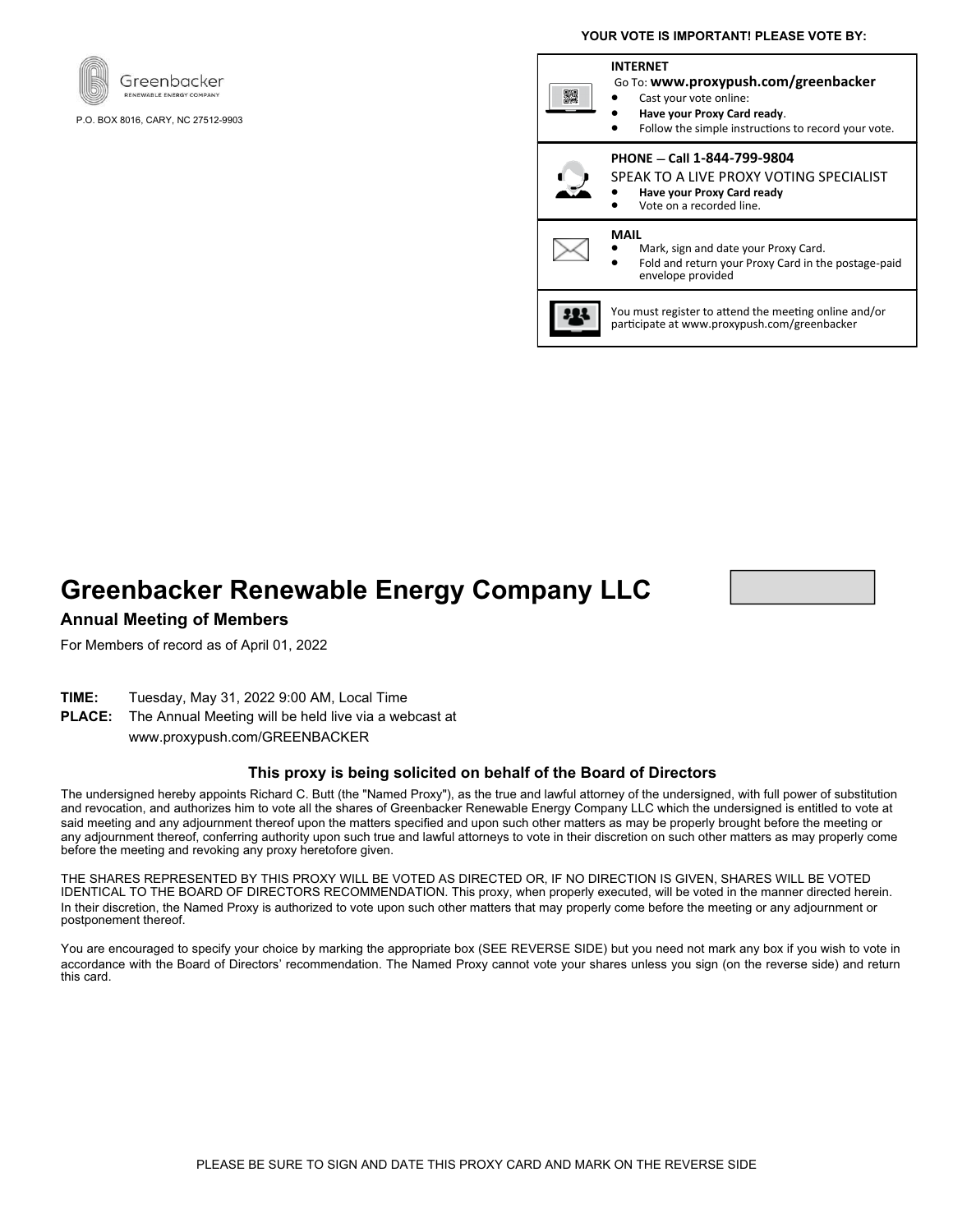



P.O. BOX 8016, CARY, NC 27512-9903

#### **INTERNET** Go To: **www.proxypush.com/greenbacker** 驟 Cast your vote online: • **Have your Proxy Card ready**. Follow the simple instructions to record your vote. **PHONE — Call 1-844-799-9804** SPEAK TO A LIVE PROXY VOTING SPECIALIST • **Have your Proxy Card ready** Vote on a recorded line. **MAIL** • Mark, sign and date your Proxy Card. • Fold and return your Proxy Card in the postage-paid envelope provided You must register to attend the meeting online and/or participate at www.proxypush.com/greenbacker

# **Greenbacker Renewable Energy Company LLC**



### **Annual Meeting of Members**

For Members of record as of April 01, 2022

- **TIME:** Tuesday, May 31, 2022 9:00 AM, Local Time
- **PLACE:** The Annual Meeting will be held live via a webcast at www.proxypush.com/GREENBACKER

#### **This proxy is being solicited on behalf of the Board of Directors**

The undersigned hereby appoints Richard C. Butt (the "Named Proxy"), as the true and lawful attorney of the undersigned, with full power of substitution and revocation, and authorizes him to vote all the shares of Greenbacker Renewable Energy Company LLC which the undersigned is entitled to vote at said meeting and any adjournment thereof upon the matters specified and upon such other matters as may be properly brought before the meeting or any adjournment thereof, conferring authority upon such true and lawful attorneys to vote in their discretion on such other matters as may properly come before the meeting and revoking any proxy heretofore given.

THE SHARES REPRESENTED BY THIS PROXY WILL BE VOTED AS DIRECTED OR, IF NO DIRECTION IS GIVEN, SHARES WILL BE VOTED IDENTICAL TO THE BOARD OF DIRECTORS RECOMMENDATION. This proxy, when properly executed, will be voted in the manner directed herein. In their discretion, the Named Proxy is authorized to vote upon such other matters that may properly come before the meeting or any adjournment or postponement thereof.

You are encouraged to specify your choice by marking the appropriate box (SEE REVERSE SIDE) but you need not mark any box if you wish to vote in accordance with the Board of Directors' recommendation. The Named Proxy cannot vote your shares unless you sign (on the reverse side) and return this card.